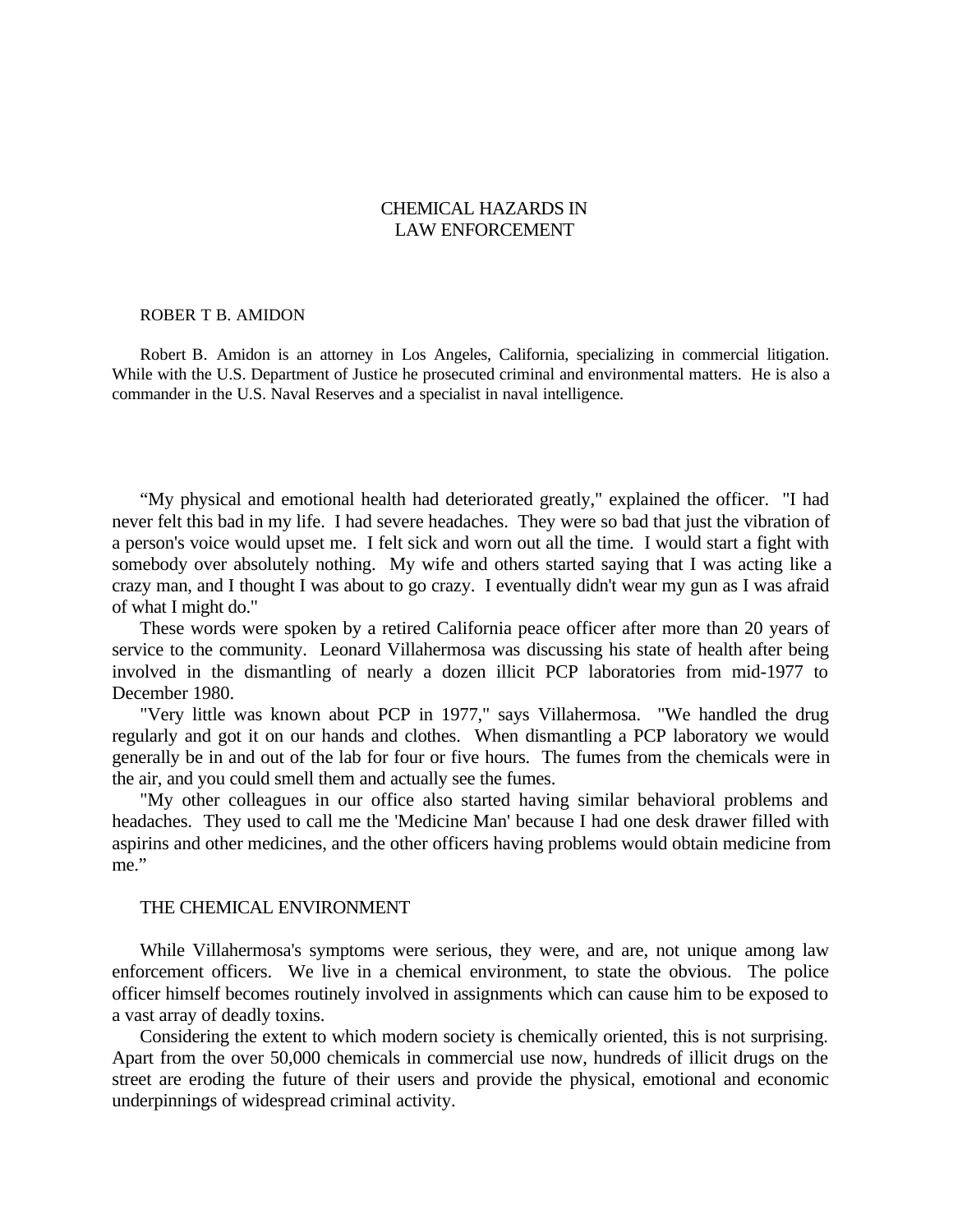# CHEMICAL HAZARDS IN LAW ENFORCEMENT

#### ROBER T B. AMIDON

Robert B. Amidon is an attorney in Los Angeles, California, specializing in commercial litigation. While with the U.S. Department of Justice he prosecuted criminal and environmental matters. He is also a commander in the U.S. Naval Reserves and a specialist in naval intelligence.

"My physical and emotional health had deteriorated greatly," explained the officer. "I had never felt this bad in my life. I had severe headaches. They were so bad that just the vibration of a person's voice would upset me. I felt sick and worn out all the time. I would start a fight with somebody over absolutely nothing. My wife and others started saying that I was acting like a crazy man, and I thought I was about to go crazy. I eventually didn't wear my gun as I was afraid of what I might do."

These words were spoken by a retired California peace officer after more than 20 years of service to the community. Leonard Villahermosa was discussing his state of health after being involved in the dismantling of nearly a dozen illicit PCP laboratories from mid-1977 to December 1980.

"Very little was known about PCP in 1977," says Villahermosa. "We handled the drug regularly and got it on our hands and clothes. When dismantling a PCP laboratory we would generally be in and out of the lab for four or five hours. The fumes from the chemicals were in the air, and you could smell them and actually see the fumes.

"My other colleagues in our office also started having similar behavioral problems and headaches. They used to call me the 'Medicine Man' because I had one desk drawer filled with aspirins and other medicines, and the other officers having problems would obtain medicine from me."

#### THE CHEMICAL ENVIRONMENT

While Villahermosa's symptoms were serious, they were, and are, not unique among law enforcement officers. We live in a chemical environment, to state the obvious. The police officer himself becomes routinely involved in assignments which can cause him to be exposed to a vast array of deadly toxins.

Considering the extent to which modern society is chemically oriented, this is not surprising. Apart from the over 50,000 chemicals in commercial use now, hundreds of illicit drugs on the street are eroding the future of their users and provide the physical, emotional and economic underpinnings of widespread criminal activity.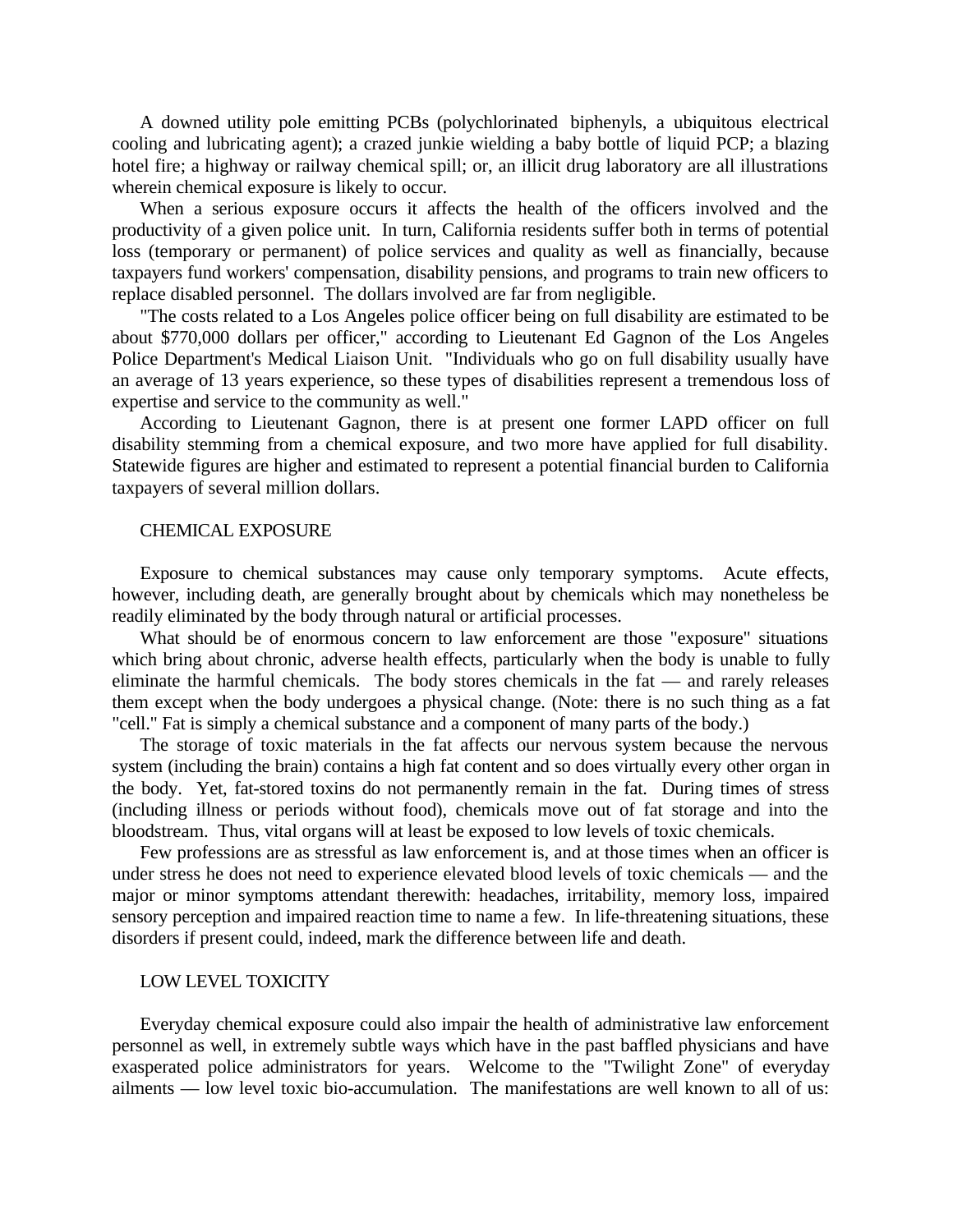A downed utility pole emitting PCBs (polychlorinated biphenyls, a ubiquitous electrical cooling and lubricating agent); a crazed junkie wielding a baby bottle of liquid PCP; a blazing hotel fire; a highway or railway chemical spill; or, an illicit drug laboratory are all illustrations wherein chemical exposure is likely to occur.

When a serious exposure occurs it affects the health of the officers involved and the productivity of a given police unit. In turn, California residents suffer both in terms of potential loss (temporary or permanent) of police services and quality as well as financially, because taxpayers fund workers' compensation, disability pensions, and programs to train new officers to replace disabled personnel. The dollars involved are far from negligible.

"The costs related to a Los Angeles police officer being on full disability are estimated to be about \$770,000 dollars per officer," according to Lieutenant Ed Gagnon of the Los Angeles Police Department's Medical Liaison Unit. "Individuals who go on full disability usually have an average of 13 years experience, so these types of disabilities represent a tremendous loss of expertise and service to the community as well."

According to Lieutenant Gagnon, there is at present one former LAPD officer on full disability stemming from a chemical exposure, and two more have applied for full disability. Statewide figures are higher and estimated to represent a potential financial burden to California taxpayers of several million dollars.

### CHEMICAL EXPOSURE

Exposure to chemical substances may cause only temporary symptoms. Acute effects, however, including death, are generally brought about by chemicals which may nonetheless be readily eliminated by the body through natural or artificial processes.

What should be of enormous concern to law enforcement are those "exposure" situations which bring about chronic, adverse health effects, particularly when the body is unable to fully eliminate the harmful chemicals. The body stores chemicals in the fat — and rarely releases them except when the body undergoes a physical change. (Note: there is no such thing as a fat "cell." Fat is simply a chemical substance and a component of many parts of the body.)

The storage of toxic materials in the fat affects our nervous system because the nervous system (including the brain) contains a high fat content and so does virtually every other organ in the body. Yet, fat-stored toxins do not permanently remain in the fat. During times of stress (including illness or periods without food), chemicals move out of fat storage and into the bloodstream. Thus, vital organs will at least be exposed to low levels of toxic chemicals.

Few professions are as stressful as law enforcement is, and at those times when an officer is under stress he does not need to experience elevated blood levels of toxic chemicals — and the major or minor symptoms attendant therewith: headaches, irritability, memory loss, impaired sensory perception and impaired reaction time to name a few. In life-threatening situations, these disorders if present could, indeed, mark the difference between life and death.

#### LOW LEVEL TOXICITY

Everyday chemical exposure could also impair the health of administrative law enforcement personnel as well, in extremely subtle ways which have in the past baffled physicians and have exasperated police administrators for years. Welcome to the "Twilight Zone" of everyday ailments — low level toxic bio-accumulation. The manifestations are well known to all of us: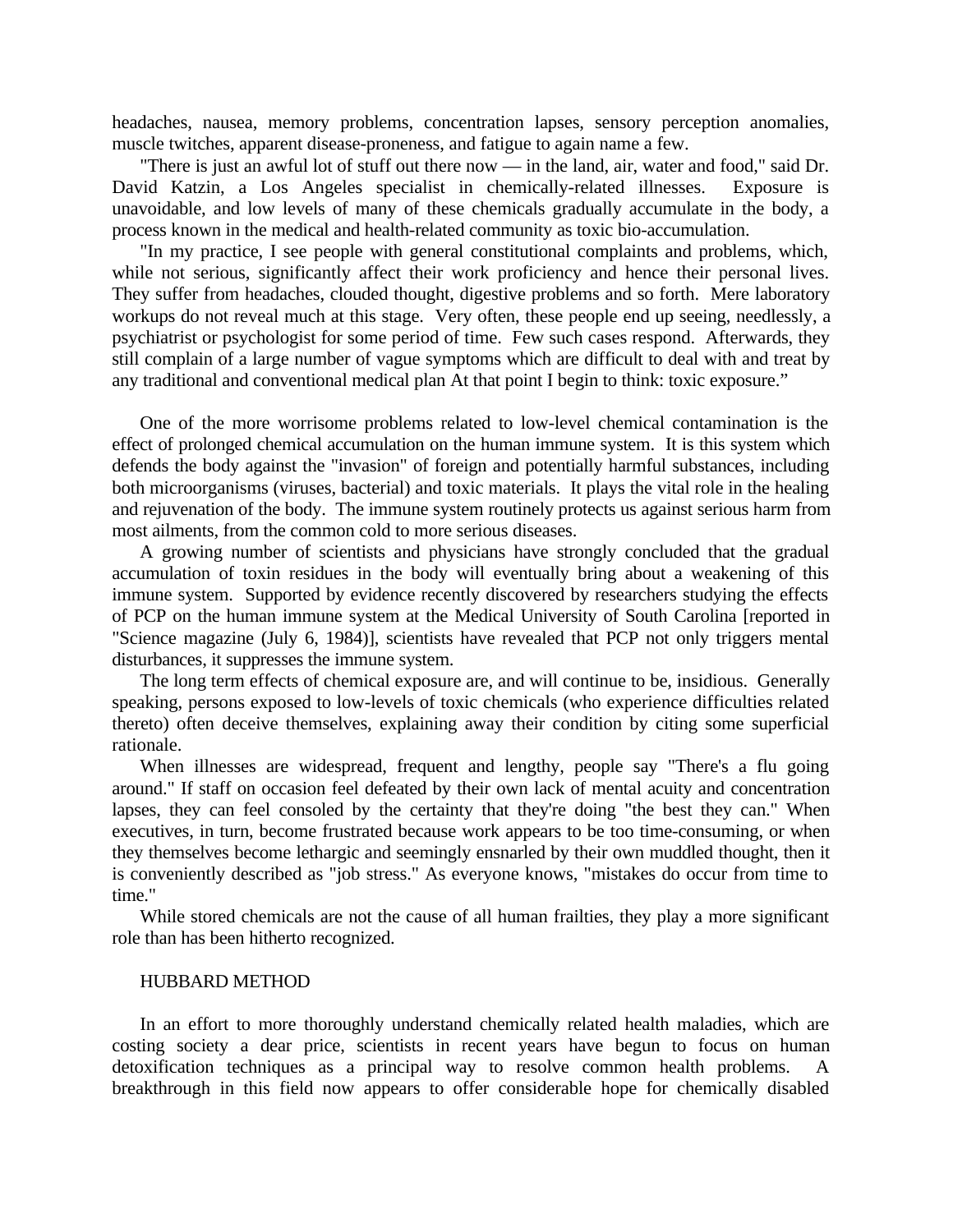headaches, nausea, memory problems, concentration lapses, sensory perception anomalies, muscle twitches, apparent disease-proneness, and fatigue to again name a few.

"There is just an awful lot of stuff out there now — in the land, air, water and food," said Dr. David Katzin, a Los Angeles specialist in chemically-related illnesses. Exposure is unavoidable, and low levels of many of these chemicals gradually accumulate in the body, a process known in the medical and health-related community as toxic bio-accumulation.

"In my practice, I see people with general constitutional complaints and problems, which, while not serious, significantly affect their work proficiency and hence their personal lives. They suffer from headaches, clouded thought, digestive problems and so forth. Mere laboratory workups do not reveal much at this stage. Very often, these people end up seeing, needlessly, a psychiatrist or psychologist for some period of time. Few such cases respond. Afterwards, they still complain of a large number of vague symptoms which are difficult to deal with and treat by any traditional and conventional medical plan At that point I begin to think: toxic exposure."

One of the more worrisome problems related to low-level chemical contamination is the effect of prolonged chemical accumulation on the human immune system. It is this system which defends the body against the "invasion" of foreign and potentially harmful substances, including both microorganisms (viruses, bacterial) and toxic materials. It plays the vital role in the healing and rejuvenation of the body. The immune system routinely protects us against serious harm from most ailments, from the common cold to more serious diseases.

A growing number of scientists and physicians have strongly concluded that the gradual accumulation of toxin residues in the body will eventually bring about a weakening of this immune system. Supported by evidence recently discovered by researchers studying the effects of PCP on the human immune system at the Medical University of South Carolina [reported in "Science magazine (July 6, 1984)], scientists have revealed that PCP not only triggers mental disturbances, it suppresses the immune system.

The long term effects of chemical exposure are, and will continue to be, insidious. Generally speaking, persons exposed to low-levels of toxic chemicals (who experience difficulties related thereto) often deceive themselves, explaining away their condition by citing some superficial rationale.

When illnesses are widespread, frequent and lengthy, people say "There's a flu going around." If staff on occasion feel defeated by their own lack of mental acuity and concentration lapses, they can feel consoled by the certainty that they're doing "the best they can." When executives, in turn, become frustrated because work appears to be too time-consuming, or when they themselves become lethargic and seemingly ensnarled by their own muddled thought, then it is conveniently described as "job stress." As everyone knows, "mistakes do occur from time to time."

While stored chemicals are not the cause of all human frailties, they play a more significant role than has been hitherto recognized.

#### HUBBARD METHOD

In an effort to more thoroughly understand chemically related health maladies, which are costing society a dear price, scientists in recent years have begun to focus on human detoxification techniques as a principal way to resolve common health problems. A breakthrough in this field now appears to offer considerable hope for chemically disabled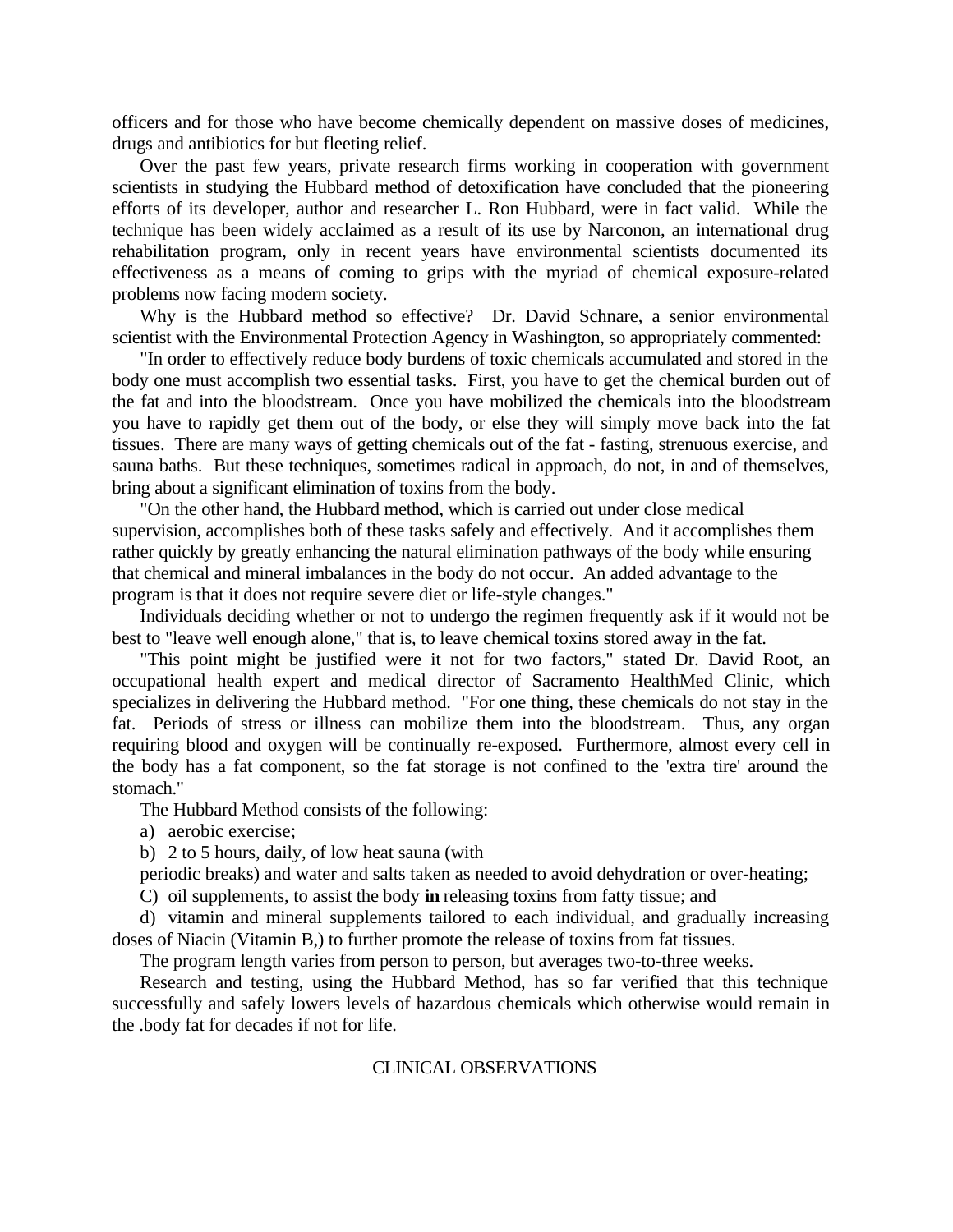officers and for those who have become chemically dependent on massive doses of medicines, drugs and antibiotics for but fleeting relief.

Over the past few years, private research firms working in cooperation with government scientists in studying the Hubbard method of detoxification have concluded that the pioneering efforts of its developer, author and researcher L. Ron Hubbard, were in fact valid. While the technique has been widely acclaimed as a result of its use by Narconon, an international drug rehabilitation program, only in recent years have environmental scientists documented its effectiveness as a means of coming to grips with the myriad of chemical exposure-related problems now facing modern society.

Why is the Hubbard method so effective? Dr. David Schnare, a senior environmental scientist with the Environmental Protection Agency in Washington, so appropriately commented:

"In order to effectively reduce body burdens of toxic chemicals accumulated and stored in the body one must accomplish two essential tasks. First, you have to get the chemical burden out of the fat and into the bloodstream. Once you have mobilized the chemicals into the bloodstream you have to rapidly get them out of the body, or else they will simply move back into the fat tissues. There are many ways of getting chemicals out of the fat - fasting, strenuous exercise, and sauna baths. But these techniques, sometimes radical in approach, do not, in and of themselves, bring about a significant elimination of toxins from the body.

"On the other hand, the Hubbard method, which is carried out under close medical supervision, accomplishes both of these tasks safely and effectively. And it accomplishes them rather quickly by greatly enhancing the natural elimination pathways of the body while ensuring that chemical and mineral imbalances in the body do not occur. An added advantage to the program is that it does not require severe diet or life-style changes."

Individuals deciding whether or not to undergo the regimen frequently ask if it would not be best to "leave well enough alone," that is, to leave chemical toxins stored away in the fat.

"This point might be justified were it not for two factors," stated Dr. David Root, an occupational health expert and medical director of Sacramento HealthMed Clinic, which specializes in delivering the Hubbard method. "For one thing, these chemicals do not stay in the fat. Periods of stress or illness can mobilize them into the bloodstream. Thus, any organ requiring blood and oxygen will be continually re-exposed. Furthermore, almost every cell in the body has a fat component, so the fat storage is not confined to the 'extra tire' around the stomach."

The Hubbard Method consists of the following:

- a) aerobic exercise;
- b) 2 to 5 hours, daily, of low heat sauna (with

periodic breaks) and water and salts taken as needed to avoid dehydration or over-heating;

C) oil supplements, to assist the body **in** releasing toxins from fatty tissue; and

d) vitamin and mineral supplements tailored to each individual, and gradually increasing doses of Niacin (Vitamin B,) to further promote the release of toxins from fat tissues.

The program length varies from person to person, but averages two-to-three weeks.

Research and testing, using the Hubbard Method, has so far verified that this technique successfully and safely lowers levels of hazardous chemicals which otherwise would remain in the .body fat for decades if not for life.

# CLINICAL OBSERVATIONS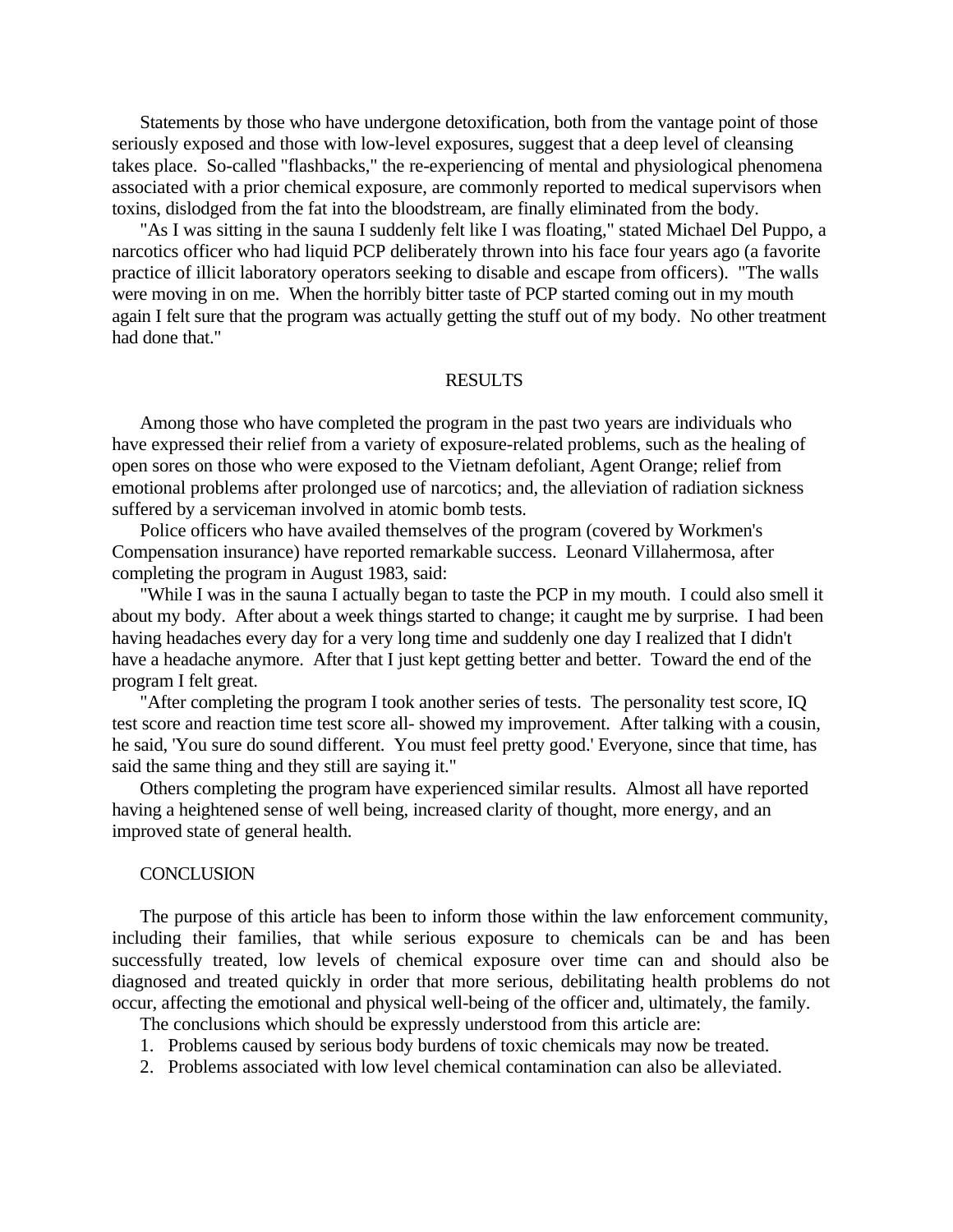Statements by those who have undergone detoxification, both from the vantage point of those seriously exposed and those with low-level exposures, suggest that a deep level of cleansing takes place. So-called "flashbacks," the re-experiencing of mental and physiological phenomena associated with a prior chemical exposure, are commonly reported to medical supervisors when toxins, dislodged from the fat into the bloodstream, are finally eliminated from the body.

"As I was sitting in the sauna I suddenly felt like I was floating," stated Michael Del Puppo, a narcotics officer who had liquid PCP deliberately thrown into his face four years ago (a favorite practice of illicit laboratory operators seeking to disable and escape from officers). "The walls were moving in on me. When the horribly bitter taste of PCP started coming out in my mouth again I felt sure that the program was actually getting the stuff out of my body. No other treatment had done that."

# RESULTS

Among those who have completed the program in the past two years are individuals who have expressed their relief from a variety of exposure-related problems, such as the healing of open sores on those who were exposed to the Vietnam defoliant, Agent Orange; relief from emotional problems after prolonged use of narcotics; and, the alleviation of radiation sickness suffered by a serviceman involved in atomic bomb tests.

Police officers who have availed themselves of the program (covered by Workmen's Compensation insurance) have reported remarkable success. Leonard Villahermosa, after completing the program in August 1983, said:

"While I was in the sauna I actually began to taste the PCP in my mouth. I could also smell it about my body. After about a week things started to change; it caught me by surprise. I had been having headaches every day for a very long time and suddenly one day I realized that I didn't have a headache anymore. After that I just kept getting better and better. Toward the end of the program I felt great.

"After completing the program I took another series of tests. The personality test score, IQ test score and reaction time test score all- showed my improvement. After talking with a cousin, he said, 'You sure do sound different. You must feel pretty good.' Everyone, since that time, has said the same thing and they still are saying it."

Others completing the program have experienced similar results. Almost all have reported having a heightened sense of well being, increased clarity of thought, more energy, and an improved state of general health.

### **CONCLUSION**

The purpose of this article has been to inform those within the law enforcement community, including their families, that while serious exposure to chemicals can be and has been successfully treated, low levels of chemical exposure over time can and should also be diagnosed and treated quickly in order that more serious, debilitating health problems do not occur, affecting the emotional and physical well-being of the officer and, ultimately, the family.

The conclusions which should be expressly understood from this article are:

- 1. Problems caused by serious body burdens of toxic chemicals may now be treated.
- 2. Problems associated with low level chemical contamination can also be alleviated.